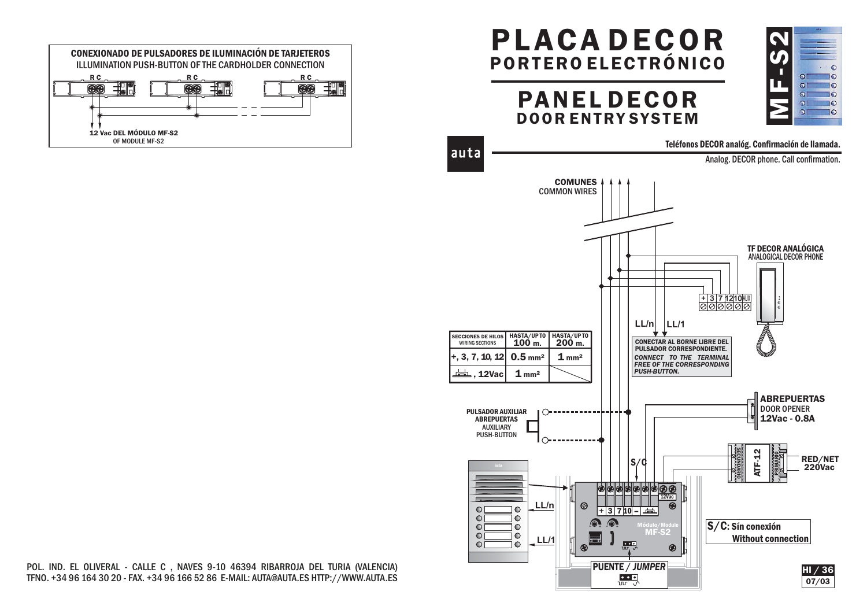

## PLACA DECORPORTERO ELECTRÓNICO

MF-S2

 $\Omega$ 

 $\Omega$ 

 $\Omega$ 

**TO** 

 $\overline{10}$ 

 $10$ 

PANEL DECOR DOOR ENTRY SYSTEM



POL. IND. EL OLIVERAL - CALLE C , NAVES 9-10 46394 RIBARROJA DEL TURIA (VALENCIA) TFNO. +34 96 164 30 20 - FAX. +34 96 166 52 86 E-MAIL: AUTA@AUTA.ES HTTP://WWW.AUTA.ES